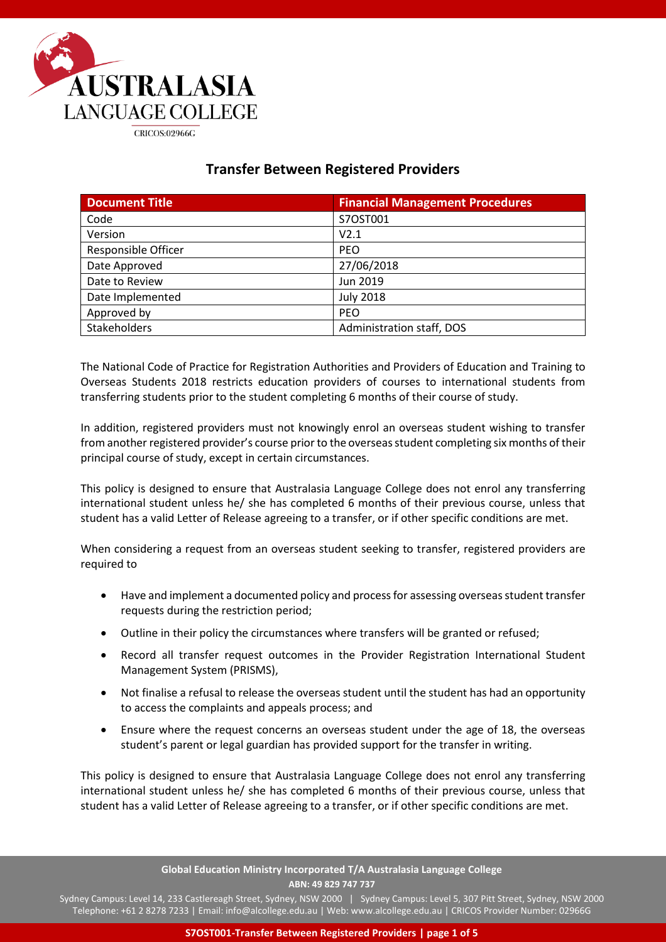

# **Transfer Between Registered Providers**

| <b>Document Title</b>      | <b>Financial Management Procedures</b> |
|----------------------------|----------------------------------------|
| Code                       | S7OST001                               |
| Version                    | V2.1                                   |
| <b>Responsible Officer</b> | <b>PEO</b>                             |
| Date Approved              | 27/06/2018                             |
| Date to Review             | Jun 2019                               |
| Date Implemented           | <b>July 2018</b>                       |
| Approved by                | <b>PEO</b>                             |
| <b>Stakeholders</b>        | Administration staff, DOS              |

The National Code of Practice for Registration Authorities and Providers of Education and Training to Overseas Students 2018 restricts education providers of courses to international students from transferring students prior to the student completing 6 months of their course of study.

In addition, registered providers must not knowingly enrol an overseas student wishing to transfer from another registered provider's course prior to the overseas student completing six months of their principal course of study, except in certain circumstances.

This policy is designed to ensure that Australasia Language College does not enrol any transferring international student unless he/ she has completed 6 months of their previous course, unless that student has a valid Letter of Release agreeing to a transfer, or if other specific conditions are met.

When considering a request from an overseas student seeking to transfer, registered providers are required to

- Have and implement a documented policy and process for assessing overseas student transfer requests during the restriction period;
- Outline in their policy the circumstances where transfers will be granted or refused;
- Record all transfer request outcomes in the Provider Registration International Student Management System (PRISMS),
- Not finalise a refusal to release the overseas student until the student has had an opportunity to access the complaints and appeals process; and
- Ensure where the request concerns an overseas student under the age of 18, the overseas student's parent or legal guardian has provided support for the transfer in writing.

This policy is designed to ensure that Australasia Language College does not enrol any transferring international student unless he/ she has completed 6 months of their previous course, unless that student has a valid Letter of Release agreeing to a transfer, or if other specific conditions are met.

> **Global Education Ministry Incorporated T/A Australasia Language College ABN: 49 829 747 737**

Sydney Campus: Level 14, 233 Castlereagh Street, Sydney, NSW 2000 | Sydney Campus: Level 5, 307 Pitt Street, Sydney, NSW 2000 Telephone: +61 2 8278 7233 | Email: info@alcollege.edu.au | Web: www.alcollege.edu.au | CRICOS Provider Number: 02966G

**S7OST001-Transfer Between Registered Providers | page 1 of 5**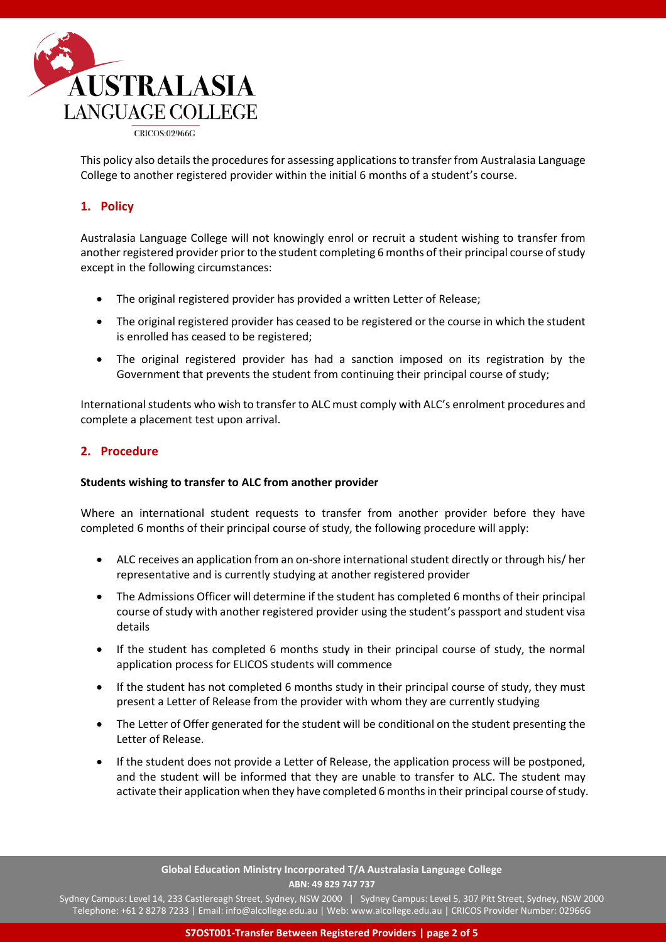

This policy also details the procedures for assessing applications to transfer from Australasia Language College to another registered provider within the initial 6 months of a student's course.

# **1. Policy**

Australasia Language College will not knowingly enrol or recruit a student wishing to transfer from another registered provider prior to the student completing 6 months of their principal course of study except in the following circumstances:

- The original registered provider has provided a written Letter of Release;
- The original registered provider has ceased to be registered or the course in which the student is enrolled has ceased to be registered;
- The original registered provider has had a sanction imposed on its registration by the Government that prevents the student from continuing their principal course of study;

International students who wish to transfer to ALC must comply with ALC's enrolment procedures and complete a placement test upon arrival.

## **2. Procedure**

### **Students wishing to transfer to ALC from another provider**

Where an international student requests to transfer from another provider before they have completed 6 months of their principal course of study, the following procedure will apply:

- ALC receives an application from an on-shore international student directly or through his/ her representative and is currently studying at another registered provider
- The Admissions Officer will determine if the student has completed 6 months of their principal course of study with another registered provider using the student's passport and student visa details
- If the student has completed 6 months study in their principal course of study, the normal application process for ELICOS students will commence
- If the student has not completed 6 months study in their principal course of study, they must present a Letter of Release from the provider with whom they are currently studying
- The Letter of Offer generated for the student will be conditional on the student presenting the Letter of Release.
- If the student does not provide a Letter of Release, the application process will be postponed, and the student will be informed that they are unable to transfer to ALC. The student may activate their application when they have completed 6 months in their principal course of study.

**Global Education Ministry Incorporated T/A Australasia Language College ABN: 49 829 747 737**

Sydney Campus: Level 14, 233 Castlereagh Street, Sydney, NSW 2000 | Sydney Campus: Level 5, 307 Pitt Street, Sydney, NSW 2000 Telephone: +61 2 8278 7233 | Email: info@alcollege.edu.au | Web: www.alcollege.edu.au | CRICOS Provider Number: 02966G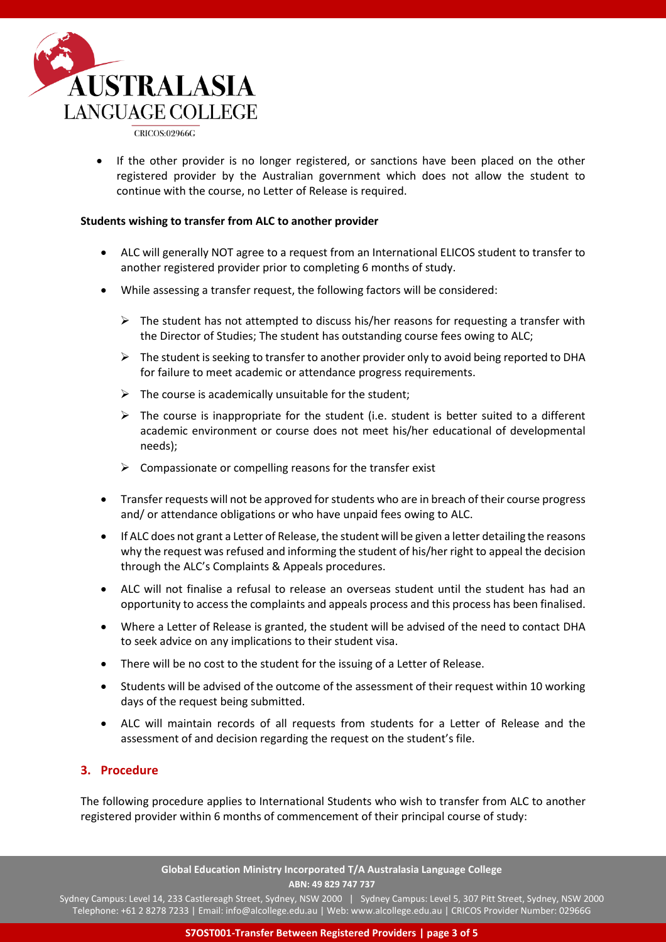

CRICOS:02966G

If the other provider is no longer registered, or sanctions have been placed on the other registered provider by the Australian government which does not allow the student to continue with the course, no Letter of Release is required.

#### **Students wishing to transfer from ALC to another provider**

- ALC will generally NOT agree to a request from an International ELICOS student to transfer to another registered provider prior to completing 6 months of study.
- While assessing a transfer request, the following factors will be considered:
	- $\triangleright$  The student has not attempted to discuss his/her reasons for requesting a transfer with the Director of Studies; The student has outstanding course fees owing to ALC;
	- $\triangleright$  The student is seeking to transfer to another provider only to avoid being reported to DHA for failure to meet academic or attendance progress requirements.
	- $\triangleright$  The course is academically unsuitable for the student;
	- $\triangleright$  The course is inappropriate for the student (i.e. student is better suited to a different academic environment or course does not meet his/her educational of developmental needs);
	- $\triangleright$  Compassionate or compelling reasons for the transfer exist
- Transfer requests will not be approved for students who are in breach of their course progress and/ or attendance obligations or who have unpaid fees owing to ALC.
- If ALC does not grant a Letter of Release, the student will be given a letter detailing the reasons why the request was refused and informing the student of his/her right to appeal the decision through the ALC's Complaints & Appeals procedures.
- ALC will not finalise a refusal to release an overseas student until the student has had an opportunity to access the complaints and appeals process and this process has been finalised.
- Where a Letter of Release is granted, the student will be advised of the need to contact DHA to seek advice on any implications to their student visa.
- There will be no cost to the student for the issuing of a Letter of Release.
- Students will be advised of the outcome of the assessment of their request within 10 working days of the request being submitted.
- ALC will maintain records of all requests from students for a Letter of Release and the assessment of and decision regarding the request on the student's file.

### **3. Procedure**

The following procedure applies to International Students who wish to transfer from ALC to another registered provider within 6 months of commencement of their principal course of study:

> **Global Education Ministry Incorporated T/A Australasia Language College ABN: 49 829 747 737**

Sydney Campus: Level 14, 233 Castlereagh Street, Sydney, NSW 2000 | Sydney Campus: Level 5, 307 Pitt Street, Sydney, NSW 2000 Telephone: +61 2 8278 7233 | Email: info@alcollege.edu.au | Web: www.alcollege.edu.au | CRICOS Provider Number: 02966G

**S7OST001-Transfer Between Registered Providers | page 3 of 5**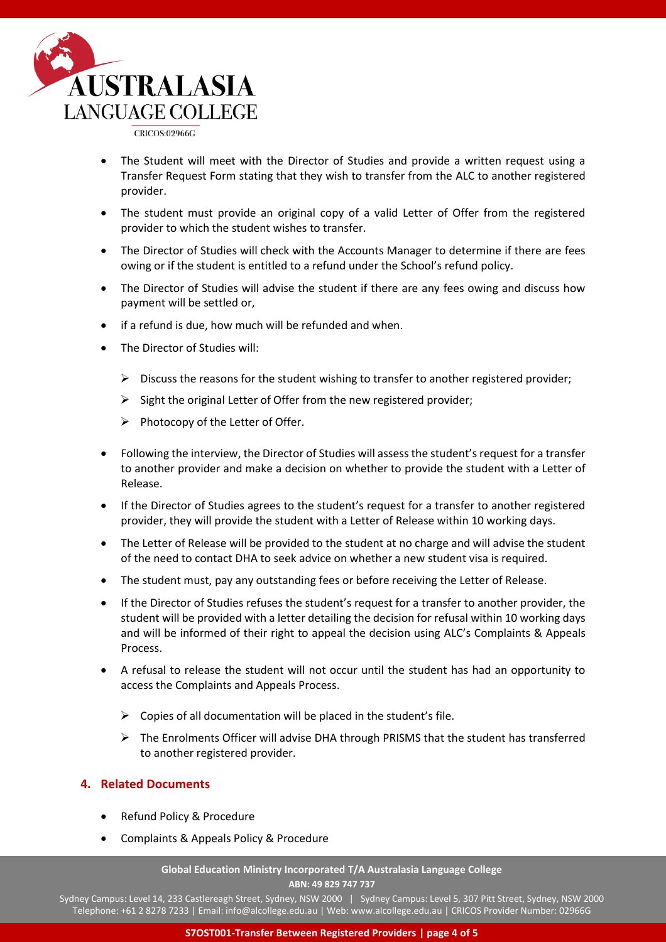

**CRICOS:02966G** 

- The Student will meet with the Director of Studies and provide a written request using a Transfer Request Form stating that they wish to transfer from the ALC to another registered provider.
- The student must provide an original copy of a valid Letter of Offer from the registered provider to which the student wishes to transfer.
- The Director of Studies will check with the Accounts Manager to determine if there are fees owing or if the student is entitled to a refund under the School's refund policy.
- The Director of Studies will advise the student if there are any fees owing and discuss how payment will be settled or,
- if a refund is due, how much will be refunded and when.
- The Director of Studies will:
	- $\triangleright$  Discuss the reasons for the student wishing to transfer to another registered provider;
	- ➢ Sight the original Letter of Offer from the new registered provider;
	- ➢ Photocopy of the Letter of Offer.
- Following the interview, the Director of Studies will assess the student's request for a transfer to another provider and make a decision on whether to provide the student with a Letter of Release.
- If the Director of Studies agrees to the student's request for a transfer to another registered provider, they will provide the student with a Letter of Release within 10 working days.
- The Letter of Release will be provided to the student at no charge and will advise the student of the need to contact DHA to seek advice on whether a new student visa is required.
- The student must, pay any outstanding fees or before receiving the Letter of Release.
- If the Director of Studies refuses the student's request for a transfer to another provider, the student will be provided with a letter detailing the decision for refusal within 10 working days and will be informed of their right to appeal the decision using ALC's Complaints & Appeals Process.
- A refusal to release the student will not occur until the student has had an opportunity to access the Complaints and Appeals Process.
	- $\triangleright$  Copies of all documentation will be placed in the student's file.
	- $\triangleright$  The Enrolments Officer will advise DHA through PRISMS that the student has transferred to another registered provider.

## **4. Related Documents**

- Refund Policy & Procedure
- Complaints & Appeals Policy & Procedure

**Global Education Ministry Incorporated T/A Australasia Language College ABN: 49 829 747 737**

Sydney Campus: Level 14, 233 Castlereagh Street, Sydney, NSW 2000 | Sydney Campus: Level 5, 307 Pitt Street, Sydney, NSW 2000 Telephone: +61 2 8278 7233 | Email: info@alcollege.edu.au | Web: www.alcollege.edu.au | CRICOS Provider Number: 02966G